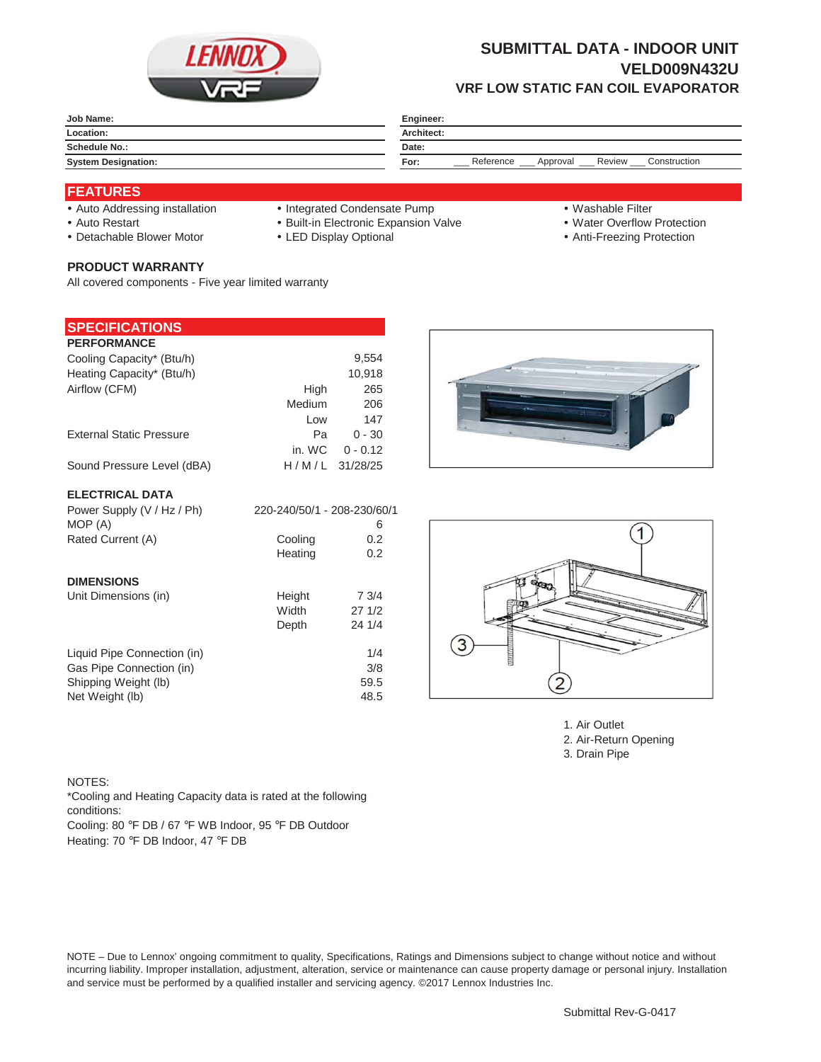

# **SUBMITTAL DATA - INDOOR UNIT VELD009N432U VRF LOW STATIC FAN COIL EVAPORATOR**

|                            | Engineer:                                               |  |  |
|----------------------------|---------------------------------------------------------|--|--|
| Location:                  | Architect:                                              |  |  |
| Schedule No.:              | Date:                                                   |  |  |
| <b>System Designation:</b> | Reference<br>Review<br>Construction<br>Approval<br>For: |  |  |

### **FEATURES**

- 
- Auto Addressing installation Integrated Condensate Pump Washable Filter
- y Auto Restart y Built-in Electronic Expansion Valve y Water Overflow Protection
- Detachable Blower Motor VED Display Optional \* Noti-Freezing Protection
- 
- 
- 
- 

**PRODUCT WARRANTY** All covered components - Five year limited warranty

#### **SPECIFICATIONS**

| <b>PERFORMANCE</b>              |        |                  |
|---------------------------------|--------|------------------|
| Cooling Capacity* (Btu/h)       |        | 9.554            |
| Heating Capacity* (Btu/h)       |        | 10,918           |
| Airflow (CFM)                   | High   | 265              |
|                                 | Medium | 206              |
|                                 | Low    | 147              |
| <b>External Static Pressure</b> | Pа     | $0 - 30$         |
|                                 | in. WC | $0 - 0.12$       |
| Sound Pressure Level (dBA)      |        | $H/M/L$ 31/28/25 |
|                                 |        |                  |

### **ELECTRICAL DATA**

| Power Supply (V / Hz / Ph)  | 220-240/50/1 - 208-230/60/1 |        |
|-----------------------------|-----------------------------|--------|
| MOP (A)                     |                             | 6      |
| Rated Current (A)           | Cooling                     | 0.2    |
|                             | Heating                     | 0.2    |
| <b>DIMENSIONS</b>           |                             |        |
| Unit Dimensions (in)        | Height                      | 73/4   |
|                             | Width                       | 271/2  |
|                             | Depth                       | 24 1/4 |
| Liquid Pipe Connection (in) |                             | 1/4    |
| Gas Pipe Connection (in)    |                             | 3/8    |
| Shipping Weight (lb)        |                             | 59.5   |
| Net Weight (lb)             |                             | 48.5   |





1. Air Outlet 2. Air-Return Opening 3. Drain Pipe

#### NOTES:

Cooling: 80 °F DB / 67 °F WB Indoor, 95 °F DB Outdoor \*Cooling and Heating Capacity data is rated at the following conditions:

Heating: 70 °F DB Indoor, 47 °F DB

NOTE – Due to Lennox' ongoing commitment to quality, Specifications, Ratings and Dimensions subject to change without notice and without incurring liability. Improper installation, adjustment, alteration, service or maintenance can cause property damage or personal injury. Installation and service must be performed by a qualified installer and servicing agency. ©2017 Lennox Industries Inc.